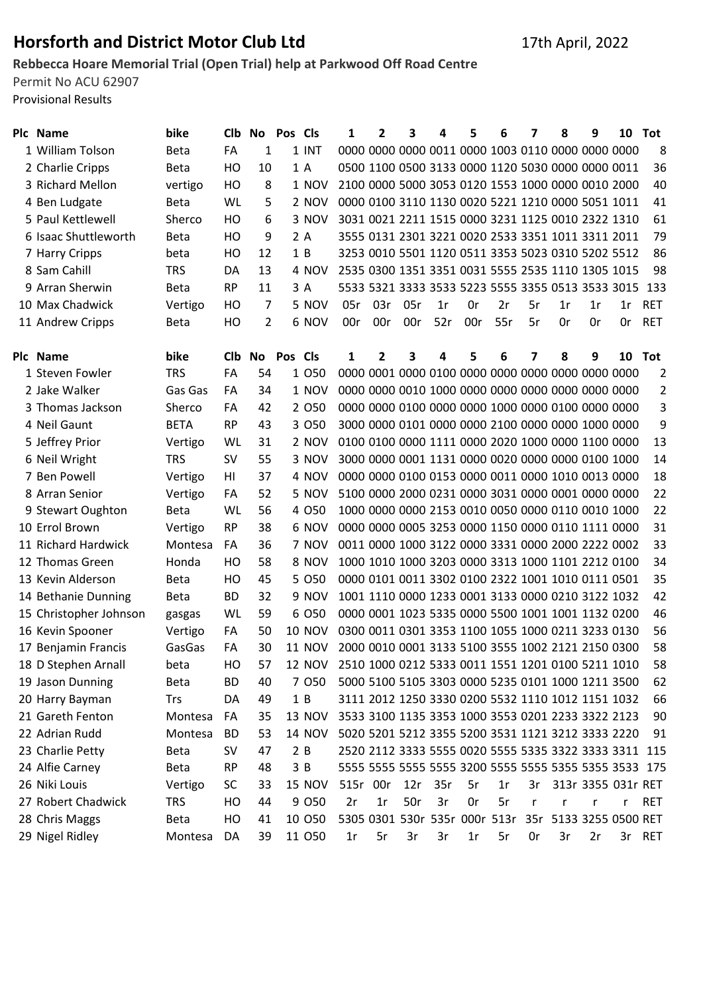## Horsforth and District Motor Club Ltd 17th April, 2022

## Rebbecca Hoare Memorial Trial (Open Trial) help at Parkwood Off Road Centre

Permit No ACU 62907 Provisional Results

| Plc Name             | bike          | CI <sub>b</sub> | No Pos Cls |         | 1                                                 | $\overline{2}$ | 3   | 4   | 5   | 6   |     | 8                                                     | 9  | 10 | Tot        |
|----------------------|---------------|-----------------|------------|---------|---------------------------------------------------|----------------|-----|-----|-----|-----|-----|-------------------------------------------------------|----|----|------------|
| 1 William Tolson     | <b>Beta</b>   | FA              |            | $1$ INT |                                                   |                |     |     |     |     |     | 0000 0000 0000 0011 0000 1003 0110 0000 0000 0000     |    |    | 8          |
| 2 Charlie Cripps     | <b>Beta</b>   | HO.             | 10         | 1 A     |                                                   |                |     |     |     |     |     | 0500 1100 0500 3133 0000 1120 5030 0000 0000 0011     |    |    | 36         |
| 3 Richard Mellon     | vertigo       | HO              | 8          | 1 NOV   | 2100 0000 5000 3053 0120 1553 1000 0000 0010 2000 |                |     |     |     |     |     |                                                       |    |    | 40         |
| 4 Ben Ludgate        | <b>Beta</b>   | WL              | .5.        | 2 NOV   |                                                   |                |     |     |     |     |     | 0000 0100 3110 1130 0020 5221 1210 0000 5051 1011     |    |    | 41         |
| 5 Paul Kettlewell    | <b>Sherco</b> | HO              | 6          | 3 NOV   |                                                   |                |     |     |     |     |     | 3031 0021 2211 1515 0000 3231 1125 0010 2322 1310     |    |    | -61        |
| 6 Isaac Shuttleworth | <b>Beta</b>   | HO              | 9          | 2 A     |                                                   |                |     |     |     |     |     | 3555 0131 2301 3221 0020 2533 3351 1011 3311 2011     |    |    | 79         |
| 7 Harry Cripps       | beta          | HO.             | 12         | 1B      |                                                   |                |     |     |     |     |     | 3253 0010 5501 1120 0511 3353 5023 0310 5202 5512     |    |    | 86         |
| 8 Sam Cahill         | <b>TRS</b>    | DA              | 13         | 4 NOV   |                                                   |                |     |     |     |     |     | 2535 0300 1351 3351 0031 5555 2535 1110 1305 1015     |    |    | 98         |
| 9 Arran Sherwin      | <b>Beta</b>   | <b>RP</b>       | 11         | 3 A     |                                                   |                |     |     |     |     |     | 5533 5321 3333 3533 5223 5555 3355 0513 3533 3015 133 |    |    |            |
| 10 Max Chadwick      | Vertigo       | HO              |            | 5 NOV   | 05r                                               | 03r            | 05r | 1r  | 0r  | 2r  | 5r  | 1r                                                    | 1r | 1r | <b>RET</b> |
| 11 Andrew Cripps     | <b>Beta</b>   | НO              |            | 6 NOV   | 00r                                               | 00r            | 00r | 52r | 00r | 55r | .5r | 0r                                                    | 0r | 0r | <b>RET</b> |

| Plc Name               | bike        | <b>CIb</b> | No. | <b>Pos Cls</b> |               | 1    | 2   | 3   | 4                                                 | 5  | 6  | 7   | 8                  | 9                  | 10 | Tot            |
|------------------------|-------------|------------|-----|----------------|---------------|------|-----|-----|---------------------------------------------------|----|----|-----|--------------------|--------------------|----|----------------|
| 1 Steven Fowler        | <b>TRS</b>  | FA         | 54  |                | 1 050         |      |     |     | 0000 0001 0000 0100 0000 0000 0000 0000 0000 0000 |    |    |     |                    |                    |    | $\overline{2}$ |
| 2 Jake Walker          | Gas Gas     | FA         | 34  |                | 1 NOV         |      |     |     | 0000 0000 0010 1000 0000 0000 0000 0000 0000 0000 |    |    |     |                    |                    |    | $\overline{2}$ |
| 3 Thomas Jackson       | Sherco      | FA         | 42  |                | 2 0 5 0       |      |     |     | 0000 0000 0100 0000 0000 1000 0000 0100 0000 0000 |    |    |     |                    |                    |    | 3              |
| 4 Neil Gaunt           | <b>BETA</b> | <b>RP</b>  | 43  |                | 3 0 5 0       |      |     |     |                                                   |    |    |     |                    |                    |    | 9              |
| 5 Jeffrey Prior        | Vertigo     | WL         | 31  |                | 2 NOV         |      |     |     | 0100 0100 0000 1111 0000 2020 1000 0000 1100 0000 |    |    |     |                    |                    |    | 13             |
| 6 Neil Wright          | <b>TRS</b>  | <b>SV</b>  | 55  |                | 3 NOV         |      |     |     |                                                   |    |    |     |                    |                    |    | 14             |
| 7 Ben Powell           | Vertigo     | HI         | 37  |                | 4 NOV         |      |     |     | 0000 0000 0100 0153 0000 0011 0000 1010 0013 0000 |    |    |     |                    |                    |    | 18             |
| 8 Arran Senior         | Vertigo     | FA         | 52  |                | 5 NOV         |      |     |     |                                                   |    |    |     |                    |                    |    | 22             |
| 9 Stewart Oughton      | <b>Beta</b> | WL         | 56  |                | 4 0 5 0       |      |     |     | 1000 0000 0000 2153 0010 0050 0000 0110 0010 1000 |    |    |     |                    |                    |    | 22             |
| 10 Errol Brown         | Vertigo     | <b>RP</b>  | 38  |                | 6 NOV         |      |     |     | 0000 0000 0005 3253 0000 1150 0000 0110 1111 0000 |    |    |     |                    |                    |    | 31             |
| 11 Richard Hardwick    | Montesa     | FA         | 36  |                | 7 NOV         |      |     |     |                                                   |    |    |     |                    |                    |    | 33             |
| 12 Thomas Green        | Honda       | HO         | 58  |                | 8 NOV         |      |     |     | 1000 1010 1000 3203 0000 3313 1000 1101 2212 0100 |    |    |     |                    |                    |    | 34             |
| 13 Kevin Alderson      | <b>Beta</b> | HO         | 45  |                | 5 0 5 0       |      |     |     | 0000 0101 0011 3302 0100 2322 1001 1010 0111 0501 |    |    |     |                    |                    |    | 35             |
| 14 Bethanie Dunning    | <b>Beta</b> | <b>BD</b>  | 32  |                | 9 NOV         |      |     |     | 1001 1110 0000 1233 0001 3133 0000 0210 3122 1032 |    |    |     |                    |                    |    | 42             |
| 15 Christopher Johnson | gasgas      | WL         | 59  |                | 6 0 5 0       |      |     |     | 0000 0001 1023 5335 0000 5500 1001 1001 1132 0200 |    |    |     |                    |                    |    | 46             |
| 16 Kevin Spooner       | Vertigo     | FA         | 50  |                | <b>10 NOV</b> |      |     |     | 0300 0011 0301 3353 1100 1055 1000 0211 3233 0130 |    |    |     |                    |                    |    | 56             |
| 17 Benjamin Francis    | GasGas      | FA         | 30  |                | <b>11 NOV</b> |      |     |     | 2000 0010 0001 3133 5100 3555 1002 2121 2150 0300 |    |    |     |                    |                    |    | 58             |
| 18 D Stephen Arnall    | beta        | HO         | 57  |                | <b>12 NOV</b> |      |     |     | 2510 1000 0212 5333 0011 1551 1201 0100 5211 1010 |    |    |     |                    |                    |    | 58             |
| 19 Jason Dunning       | <b>Beta</b> | <b>BD</b>  | 40  |                | 7 0 5 0       |      |     |     | 5000 5100 5105 3303 0000 5235 0101 1000 1211 3500 |    |    |     |                    |                    |    | 62             |
| 20 Harry Bayman        | Trs         | DA         | 49  | 1B             |               |      |     |     | 3111 2012 1250 3330 0200 5532 1110 1012 1151 1032 |    |    |     |                    |                    |    | 66             |
| 21 Gareth Fenton       | Montesa     | FA         | 35  |                | <b>13 NOV</b> |      |     |     | 3533 3100 1135 3353 1000 3553 0201 2233 3322 2123 |    |    |     |                    |                    |    | 90             |
| 22 Adrian Rudd         | Montesa     | <b>BD</b>  | 53  |                | <b>14 NOV</b> |      |     |     | 5020 5201 5212 3355 5200 3531 1121 3212 3333 2220 |    |    |     |                    |                    |    | 91             |
| 23 Charlie Petty       | <b>Beta</b> | <b>SV</b>  | 47  | 2B             |               |      |     |     | 2520 2112 3333 5555 0020 5555 5335 3322 3333 3311 |    |    |     |                    |                    |    | 115            |
| 24 Alfie Carney        | <b>Beta</b> | <b>RP</b>  | 48  | 3B             |               |      |     |     |                                                   |    |    |     |                    |                    |    | 175            |
| 26 Niki Louis          | Vertigo     | <b>SC</b>  | 33  |                | <b>15 NOV</b> | 515r | 00r | 12r | 35r                                               | 5r | 1r | 3r  |                    | 313r 3355 031r RET |    |                |
| 27 Robert Chadwick     | <b>TRS</b>  | HO         | 44  |                | 9 0 5 0       | 2r   | 1r  | 50r | 3r                                                | 0r | 5r | r   | r                  | r                  | r  | <b>RET</b>     |
| 28 Chris Maggs         | <b>Beta</b> | НO         | 41  |                | 10 050        |      |     |     | 5305 0301 530r 535r 000r 513r                     |    |    | 35r | 5133 3255 0500 RET |                    |    |                |
| 29 Nigel Ridley        | Montesa     | DA         | 39  |                | 11 050        | 1r   | 5r  | 3r  | 3r                                                | 1r | 5r | 0r  | 3r                 | 2r                 | 3r | <b>RET</b>     |